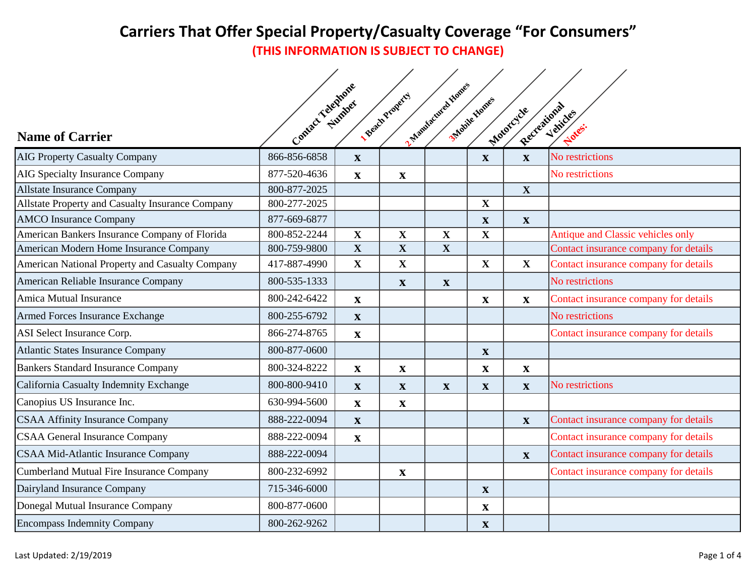**(THIS INFORMATION IS SUBJECT TO CHANGE)**

| <b>Name of Carrier</b>                           | Contract Getchione |                         | Beach Property | L. Manufactured Hance     | <b>Mabile Homes</b>       | Recreational<br>Motorcycle | Vehicles<br>Notes.                    |
|--------------------------------------------------|--------------------|-------------------------|----------------|---------------------------|---------------------------|----------------------------|---------------------------------------|
| <b>AIG Property Casualty Company</b>             | 866-856-6858       | $\mathbf{X}$            |                |                           | $\mathbf{X}$              | $\mathbf{X}$               | No restrictions                       |
| <b>AIG Specialty Insurance Company</b>           | 877-520-4636       | $\mathbf X$             | $\mathbf X$    |                           |                           |                            | No restrictions                       |
| <b>Allstate Insurance Company</b>                | 800-877-2025       |                         |                |                           |                           | $\mathbf X$                |                                       |
| Allstate Property and Casualty Insurance Company | 800-277-2025       |                         |                |                           | $\mathbf X$               |                            |                                       |
| <b>AMCO</b> Insurance Company                    | 877-669-6877       |                         |                |                           | $\mathbf{X}$              | $\mathbf{X}$               |                                       |
| American Bankers Insurance Company of Florida    | 800-852-2244       | $\mathbf X$             | $\mathbf X$    | $\mathbf X$               | $\mathbf X$               |                            | Antique and Classic vehicles only     |
| American Modern Home Insurance Company           | 800-759-9800       | $\overline{\mathbf{X}}$ | $\mathbf X$    | $\mathbf X$               |                           |                            | Contact insurance company for details |
| American National Property and Casualty Company  | 417-887-4990       | $\mathbf{X}$            | $\mathbf X$    |                           | $\mathbf X$               | $\mathbf X$                | Contact insurance company for details |
| American Reliable Insurance Company              | 800-535-1333       |                         | $\mathbf{X}$   | $\mathbf{X}$              |                           |                            | No restrictions                       |
| <b>Amica Mutual Insurance</b>                    | 800-242-6422       | $\mathbf X$             |                |                           | $\mathbf X$               | $\mathbf X$                | Contact insurance company for details |
| Armed Forces Insurance Exchange                  | 800-255-6792       | $\mathbf{X}$            |                |                           |                           |                            | No restrictions                       |
| ASI Select Insurance Corp.                       | 866-274-8765       | $\mathbf X$             |                |                           |                           |                            | Contact insurance company for details |
| <b>Atlantic States Insurance Company</b>         | 800-877-0600       |                         |                |                           | $\mathbf{X}$              |                            |                                       |
| <b>Bankers Standard Insurance Company</b>        | 800-324-8222       | $\mathbf X$             | $\mathbf X$    |                           | $\mathbf X$               | $\mathbf X$                |                                       |
| California Casualty Indemnity Exchange           | 800-800-9410       | $\mathbf{X}$            | $\mathbf{X}$   | $\boldsymbol{\mathrm{X}}$ | $\boldsymbol{\mathrm{X}}$ | $\mathbf{X}$               | No restrictions                       |
| Canopius US Insurance Inc.                       | 630-994-5600       | $\mathbf X$             | $\mathbf X$    |                           |                           |                            |                                       |
| <b>CSAA Affinity Insurance Company</b>           | 888-222-0094       | $\mathbf{X}$            |                |                           |                           | $\mathbf{X}$               | Contact insurance company for details |
| <b>CSAA General Insurance Company</b>            | 888-222-0094       | $\mathbf{X}$            |                |                           |                           |                            | Contact insurance company for details |
| <b>CSAA Mid-Atlantic Insurance Company</b>       | 888-222-0094       |                         |                |                           |                           | $\mathbf{X}$               | Contact insurance company for details |
| <b>Cumberland Mutual Fire Insurance Company</b>  | 800-232-6992       |                         | $\mathbf X$    |                           |                           |                            | Contact insurance company for details |
| Dairyland Insurance Company                      | 715-346-6000       |                         |                |                           | $\mathbf{X}$              |                            |                                       |
| Donegal Mutual Insurance Company                 | 800-877-0600       |                         |                |                           | $\mathbf X$               |                            |                                       |
| <b>Encompass Indemnity Company</b>               | 800-262-9262       |                         |                |                           | $\mathbf X$               |                            |                                       |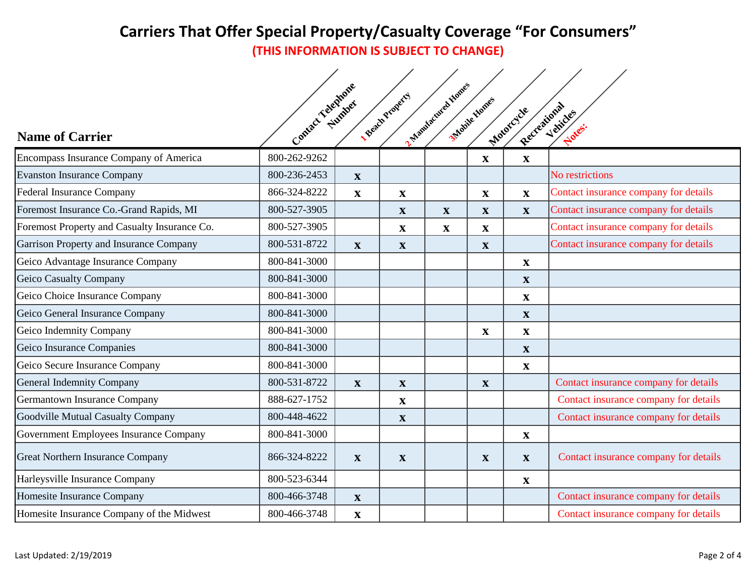**(THIS INFORMATION IS SUBJECT TO CHANGE)**

|                                              | Contract Telephone |              | Beach Property | L. Manufactured Hones | <b>Manie Homes</b>        |                            |                                       |
|----------------------------------------------|--------------------|--------------|----------------|-----------------------|---------------------------|----------------------------|---------------------------------------|
| <b>Name of Carrier</b>                       |                    |              |                |                       |                           | Recreational<br>Motorcycle | Vehicles<br><b>Notes:</b>             |
| Encompass Insurance Company of America       | 800-262-9262       |              |                |                       | $\mathbf X$               | $\mathbf X$                |                                       |
| <b>Evanston Insurance Company</b>            | 800-236-2453       | $\mathbf{X}$ |                |                       |                           |                            | No restrictions                       |
| <b>Federal Insurance Company</b>             | 866-324-8222       | $\mathbf X$  | $\mathbf X$    |                       | $\mathbf X$               | $\mathbf{X}$               | Contact insurance company for details |
| Foremost Insurance Co.-Grand Rapids, MI      | 800-527-3905       |              | $\mathbf{X}$   | $\mathbf{X}$          | $\mathbf X$               | $\mathbf X$                | Contact insurance company for details |
| Foremost Property and Casualty Insurance Co. | 800-527-3905       |              | $\mathbf X$    | $\mathbf X$           | $\mathbf X$               |                            | Contact insurance company for details |
| Garrison Property and Insurance Company      | 800-531-8722       | $\mathbf X$  | $\mathbf X$    |                       | $\mathbf X$               |                            | Contact insurance company for details |
| Geico Advantage Insurance Company            | 800-841-3000       |              |                |                       |                           | $\mathbf X$                |                                       |
| Geico Casualty Company                       | 800-841-3000       |              |                |                       |                           | $\mathbf{X}$               |                                       |
| Geico Choice Insurance Company               | 800-841-3000       |              |                |                       |                           | $\mathbf X$                |                                       |
| Geico General Insurance Company              | 800-841-3000       |              |                |                       |                           | $\mathbf{X}$               |                                       |
| Geico Indemnity Company                      | 800-841-3000       |              |                |                       | $\mathbf X$               | $\mathbf X$                |                                       |
| Geico Insurance Companies                    | 800-841-3000       |              |                |                       |                           | $\boldsymbol{\mathrm{X}}$  |                                       |
| Geico Secure Insurance Company               | 800-841-3000       |              |                |                       |                           | $\mathbf X$                |                                       |
| <b>General Indemnity Company</b>             | 800-531-8722       | $\mathbf X$  | $\mathbf{X}$   |                       | $\mathbf{X}$              |                            | Contact insurance company for details |
| <b>Germantown Insurance Company</b>          | 888-627-1752       |              | $\mathbf X$    |                       |                           |                            | Contact insurance company for details |
| Goodville Mutual Casualty Company            | 800-448-4622       |              | $\mathbf X$    |                       |                           |                            | Contact insurance company for details |
| Government Employees Insurance Company       | 800-841-3000       |              |                |                       |                           | $\mathbf{X}$               |                                       |
| Great Northern Insurance Company             | 866-324-8222       | $\mathbf{X}$ | $\mathbf{X}$   |                       | $\boldsymbol{\mathrm{X}}$ | $\mathbf{X}$               | Contact insurance company for details |
| Harleysville Insurance Company               | 800-523-6344       |              |                |                       |                           | $\mathbf{X}$               |                                       |
| Homesite Insurance Company                   | 800-466-3748       | $\mathbf{X}$ |                |                       |                           |                            | Contact insurance company for details |
| Homesite Insurance Company of the Midwest    | 800-466-3748       | $\mathbf X$  |                |                       |                           |                            | Contact insurance company for details |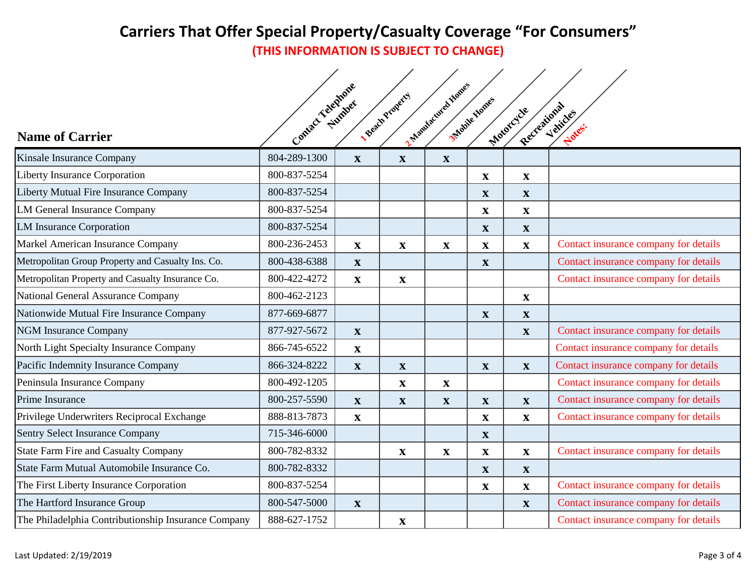**(THIS INFORMATION IS SUBJECT TO CHANGE)**

| <b>Name of Carrier</b>                              | Contract Telephone |                           | Beach Property            | L. Manufactured Hones | Mahie Hones               | Recreational<br>Motorcycle | Vehicles<br>Notes.                    |
|-----------------------------------------------------|--------------------|---------------------------|---------------------------|-----------------------|---------------------------|----------------------------|---------------------------------------|
| <b>Kinsale Insurance Company</b>                    | 804-289-1300       | $\mathbf{X}$              | $\mathbf X$               | $\mathbf{X}$          |                           |                            |                                       |
| <b>Liberty Insurance Corporation</b>                | 800-837-5254       |                           |                           |                       | $\mathbf X$               | $\mathbf X$                |                                       |
| Liberty Mutual Fire Insurance Company               | 800-837-5254       |                           |                           |                       | $\mathbf X$               | $\mathbf{X}$               |                                       |
| <b>LM General Insurance Company</b>                 | 800-837-5254       |                           |                           |                       | $\mathbf X$               | $\mathbf X$                |                                       |
| <b>LM Insurance Corporation</b>                     | 800-837-5254       |                           |                           |                       | $\boldsymbol{\mathrm{X}}$ | $\boldsymbol{\mathrm{X}}$  |                                       |
| Markel American Insurance Company                   | 800-236-2453       | $\mathbf X$               | $\mathbf X$               | $\mathbf X$           | $\mathbf X$               | $\mathbf{X}$               | Contact insurance company for details |
| Metropolitan Group Property and Casualty Ins. Co.   | 800-438-6388       | $\mathbf{X}$              |                           |                       | X                         |                            | Contact insurance company for details |
| Metropolitan Property and Casualty Insurance Co.    | 800-422-4272       | $\mathbf X$               | $\mathbf X$               |                       |                           |                            | Contact insurance company for details |
| National General Assurance Company                  | 800-462-2123       |                           |                           |                       |                           | $\mathbf X$                |                                       |
| Nationwide Mutual Fire Insurance Company            | 877-669-6877       |                           |                           |                       | $\mathbf X$               | $\mathbf{X}$               |                                       |
| <b>NGM Insurance Company</b>                        | 877-927-5672       | $\mathbf{X}$              |                           |                       |                           | $\mathbf{X}$               | Contact insurance company for details |
| North Light Specialty Insurance Company             | 866-745-6522       | $\mathbf X$               |                           |                       |                           |                            | Contact insurance company for details |
| Pacific Indemnity Insurance Company                 | 866-324-8222       | $\boldsymbol{\mathrm{X}}$ | $\boldsymbol{\mathrm{X}}$ |                       | $\mathbf X$               | $\mathbf X$                | Contact insurance company for details |
| Peninsula Insurance Company                         | 800-492-1205       |                           | $\mathbf X$               | $\mathbf X$           |                           |                            | Contact insurance company for details |
| Prime Insurance                                     | 800-257-5590       | $\mathbf{X}$              | $\mathbf{X}$              | $\mathbf{X}$          | $\mathbf X$               | $\mathbf{X}$               | Contact insurance company for details |
| Privilege Underwriters Reciprocal Exchange          | 888-813-7873       | $\mathbf{X}$              |                           |                       | $\mathbf X$               | $\mathbf X$                | Contact insurance company for details |
| <b>Sentry Select Insurance Company</b>              | 715-346-6000       |                           |                           |                       | $\mathbf X$               |                            |                                       |
| <b>State Farm Fire and Casualty Company</b>         | 800-782-8332       |                           | $\mathbf X$               | $\mathbf X$           | $\mathbf X$               | $\mathbf{X}$               | Contact insurance company for details |
| State Farm Mutual Automobile Insurance Co.          | 800-782-8332       |                           |                           |                       | $\mathbf X$               | $\mathbf{X}$               |                                       |
| The First Liberty Insurance Corporation             | 800-837-5254       |                           |                           |                       | $\mathbf X$               | $\mathbf X$                | Contact insurance company for details |
| The Hartford Insurance Group                        | 800-547-5000       | $\mathbf{X}$              |                           |                       |                           | $\mathbf{X}$               | Contact insurance company for details |
| The Philadelphia Contributionship Insurance Company | 888-627-1752       |                           | $\mathbf X$               |                       |                           |                            | Contact insurance company for details |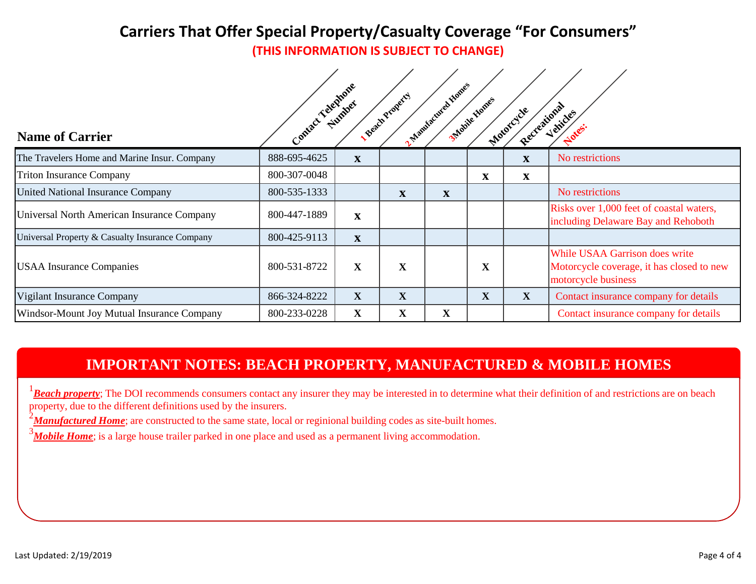**(THIS INFORMATION IS SUBJECT TO CHANGE)**

|                                                 | Contract Geneziane |              | Weed Hengery | A Manufactured Homes | <b>SMable Honges</b> | Recreational<br>Motorcycle | Vehicles                                                                                           |
|-------------------------------------------------|--------------------|--------------|--------------|----------------------|----------------------|----------------------------|----------------------------------------------------------------------------------------------------|
| <b>Name of Carrier</b>                          |                    |              |              |                      |                      |                            |                                                                                                    |
| The Travelers Home and Marine Insur. Company    | 888-695-4625       | $\mathbf X$  |              |                      |                      | $\mathbf{X}$               | No restrictions                                                                                    |
| <b>Triton Insurance Company</b>                 | 800-307-0048       |              |              |                      | $\mathbf X$          | $\mathbf X$                |                                                                                                    |
| <b>United National Insurance Company</b>        | 800-535-1333       |              | $\mathbf{X}$ | $\mathbf X$          |                      |                            | No restrictions                                                                                    |
| Universal North American Insurance Company      | 800-447-1889       | $\mathbf{X}$ |              |                      |                      |                            | Risks over 1,000 feet of coastal waters,<br>including Delaware Bay and Rehoboth                    |
| Universal Property & Casualty Insurance Company | 800-425-9113       | $\mathbf{X}$ |              |                      |                      |                            |                                                                                                    |
| <b>USAA Insurance Companies</b>                 | 800-531-8722       | $\mathbf X$  | $\mathbf X$  |                      | $\mathbf X$          |                            | While USAA Garrison does write<br>Motorcycle coverage, it has closed to new<br>motorcycle business |
| Vigilant Insurance Company                      | 866-324-8222       | $\mathbf X$  | $\mathbf X$  |                      | $\mathbf X$          | $\mathbf X$                | Contact insurance company for details                                                              |
| Windsor-Mount Joy Mutual Insurance Company      | 800-233-0228       | $\mathbf X$  | $\mathbf X$  | $\mathbf{X}$         |                      |                            | Contact insurance company for details                                                              |

### **IMPORTANT NOTES: BEACH PROPERTY, MANUFACTURED & MOBILE HOMES**

<sup>1</sup>Beach property; The DOI recommends consumers contact any insurer they may be interested in to determine what their definition of and restrictions are on beach property, due to the different definitions used by the insurers.

<sup>2</sup>Manufactured Home; are constructed to the same state, local or reginional building codes as site-built homes.

*Mobile Home*; is a large house trailer parked in one place and used as a permanent living accommodation.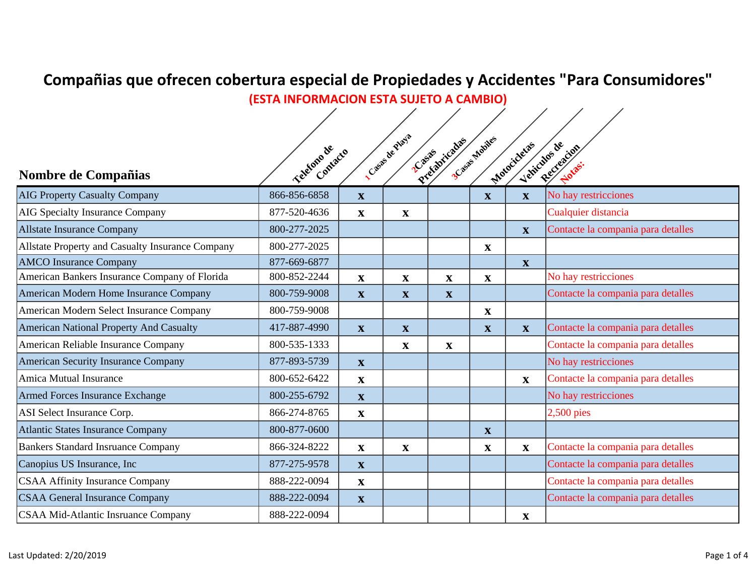#### **Compañias que ofrecen cobertura especial de Propiedades y Accidentes "Para Consumidores" (ESTA INFORMACION ESTA SUJETO A CAMBIO)**

**Nombre de Compañias and Casas de Contacto** (Casas de Legislative Casas Mobiles) de Legislative de Legislative de Legislative de Legislative de Legislative de Legislative de Legislative de Legislative de Legislative de Leg AIG Property Casualty Company 866-856-6858 **x x x x x x** No hay restricciones AIG Specialty Insurance Company 1877-520-4636 **x x x c c c c c c c c c x c x x x c x c c c c c x c c x c x c x c x c x c x c c c c x c** Allstate Insurance Company 800-277-2025 | 800-277-2025 | **x** Contacte la compania para detalles Allstate Property and Casualty Insurance Company 800-277-2025 **<sup>x</sup>** AMCO Insurance Company 877-669-6877 **x** American Bankers Insurance Company of Florida 800-852-2244 **<sup>x</sup> <sup>x</sup> xx** No hay restricciones American Modern Home Insurance Company 800-759-9008 **xxx** Contacte la compania para detalles American Modern Select Insurance Company 800-759-9008 **<sup>x</sup>** American National Property And Casualty  $\begin{vmatrix} 417-887-4990 \end{vmatrix}$   $\mathbf{x}$   $\mathbf{x}$   $\mathbf{x}$   $\mathbf{x}$   $\mathbf{x}$   $\mathbf{x}$  Contacte la compania para detalles American Reliable Insurance Company 800-535-1333 **x x x x** Contacte la compania para detalles American Security Insurance Company 877-893-5739 **x** x  $\vert$  x  $\vert$  No hay restricciones Amica Mutual Insurance 800-652-6422 **x xx** Contacte la compania para detalles Armed Forces Insurance Exchange 800-255-6792 **x** x No hay restricciones ASI Select Insurance Corp. **866-274-8765 x** 2,500 pies Atlantic States Insurance Company 800-877-0600 **x** Bankers Standard Insruance Company 866-324-8222 **x x x x x** Contacte la compania para detalles Canopius US Insurance, Inc **but a companial parameter in the Contacte** la compania para detalles CSAA Affinity Insurance Company 1888-222-0094 **x** x contacte la compania para detalles CSAA General Insurance Company 888-222-0094 **x** Contacte la compania para detalles CSAA Mid-Atlantic Insruance Company 888-222-0094 **<sup>x</sup>**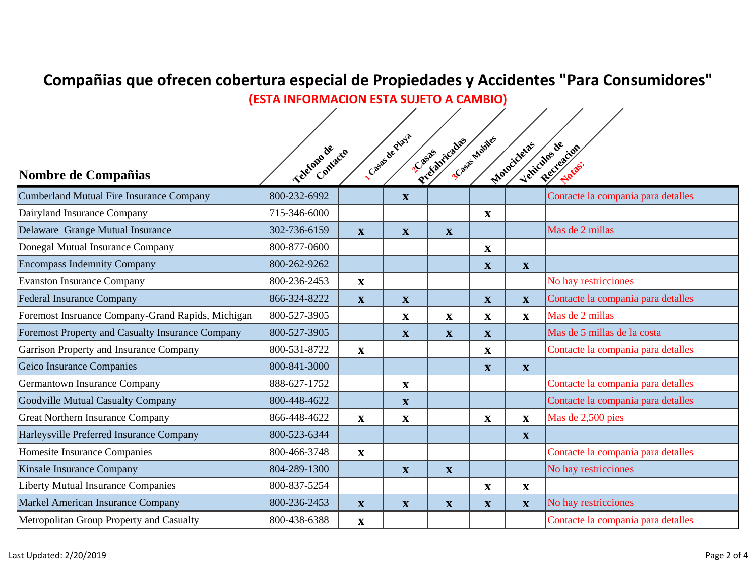#### **Compañias que ofrecen cobertura especial de Propiedades y Accidentes "Para Consumidores" (ESTA INFORMACION ESTA SUJETO A CAMBIO)**

**Nombre de Compañias and Casas de Contacto** (Casas de Playa) Casas Modiles (2019) And Casas Prefactor de Playa<br>
2019 - Playabre de Compañias Cumberland Mutual Fire Insurance Company 800-232-6992 **<sup>x</sup>** Contacte la compania para detalles Dairyland Insurance Company 2008 **715-346-6000 x** Delaware Grange Mutual Insurance 302-736-6159 **xxx** Mas de 2 millas Donegal Mutual Insurance Company 800-877-0600 **<sup>x</sup>** Encompass Indemnity Company  $\vert$  800-262-9262  $\vert$  **b**  $\vert$  **x**  $\vert$  **x**  $\vert$  **x**  $\vert$  **x** Evanston Insurance Company 800-236-2453 **x** No hay restricciones Federal Insurance Company 866-324-8222 **| x | x | x | x | x | Contacte la compania para detalles** Foremost Insruance Company-Grand Rapids, Michigan  $\begin{array}{ccc} 800-527-3905 \end{array}$   $\begin{array}{c} \textbf{x} \\ \textbf{x} \\ \textbf{x} \end{array}$   $\begin{array}{ccc} \textbf{x} \\ \textbf{x} \\ \textbf{x} \end{array}$  Mas de 2 millas Foremost Property and Casualty Insurance Company 800-527-3905 **<sup>x</sup> xx** Mas de 5 millas de la costa Garrison Property and Insurance Company 800-531-8722 **<sup>x</sup> <sup>x</sup>** Contacte la compania para detalles Geico Insurance Companies **800-841-3000 x x x x** Germantown Insurance Company 888-627-1752 **<sup>x</sup>** Contacte la compania para detalles Goodville Mutual Casualty Company 1800-448-4622 **x** x Contacte la compania para detalles Great Northern Insurance Company 866-448-4622 **x x x x x** Mas de 2,500 pies Harleysville Preferred Insurance Company 800-523-6344 **x** Homesite Insurance Companies **800-466-3748 x** x Contacte la compania para detalles Kinsale Insurance Company 804-289-1300 **<sup>x</sup> <sup>x</sup>** No hay restricciones Liberty Mutual Insurance Companies 800-837-5254 **<sup>x</sup> <sup>x</sup>** Markel American Insurance Company 800-236-2453 **x x x x x x x** No hay restricciones Metropolitan Group Property and Casualty 800-438-6388 **<sup>x</sup>** Contacte la compania para detalles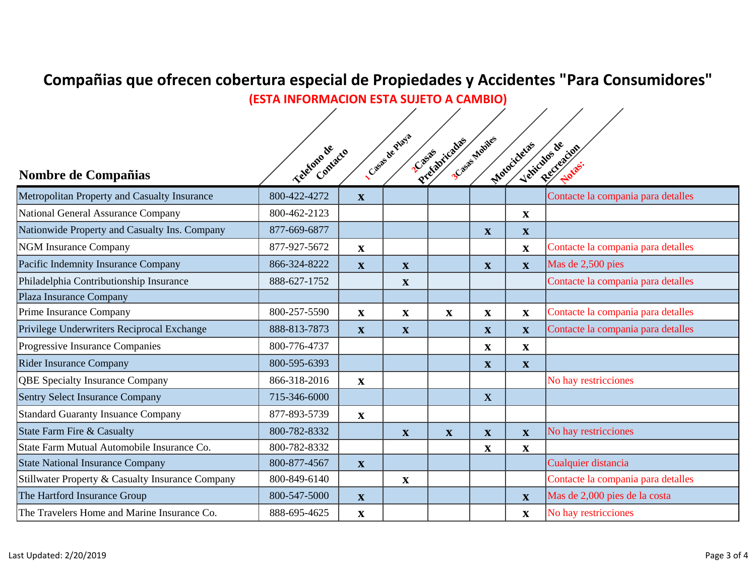# **Compañias que ofrecen cobertura especial de Propiedades y Accidentes "Para Consumidores"**

**(ESTA INFORMACION ESTA SUJETO A CAMBIO)**

| <b>Nombre de Compañias</b>                       | Telefono de<br>Contacto |                           | Castle de Playa<br>2 Casas | Presidicadas | 3 Casas Mohiles | Matacicletas<br>Vericines de | Recreations:                       |
|--------------------------------------------------|-------------------------|---------------------------|----------------------------|--------------|-----------------|------------------------------|------------------------------------|
| Metropolitan Property and Casualty Insurance     | 800-422-4272            | X                         |                            |              |                 |                              | Contacte la compania para detalles |
| <b>National General Assurance Company</b>        | 800-462-2123            |                           |                            |              |                 | $\mathbf X$                  |                                    |
| Nationwide Property and Casualty Ins. Company    | 877-669-6877            |                           |                            |              | $\mathbf{X}$    | $\mathbf{X}$                 |                                    |
| <b>NGM Insurance Company</b>                     | 877-927-5672            | $\mathbf{X}$              |                            |              |                 | $\mathbf X$                  | Contacte la compania para detalles |
| Pacific Indemnity Insurance Company              | 866-324-8222            | X                         | $\mathbf{X}$               |              | $\mathbf{X}$    | $\mathbf{X}$                 | Mas de 2,500 pies                  |
| Philadelphia Contributionship Insurance          | 888-627-1752            |                           | $\mathbf X$                |              |                 |                              | Contacte la compania para detalles |
| Plaza Insurance Company                          |                         |                           |                            |              |                 |                              |                                    |
| Prime Insurance Company                          | 800-257-5590            | $\boldsymbol{\mathrm{X}}$ | $\mathbf X$                | $\mathbf X$  | $\mathbf X$     | $\boldsymbol{\mathrm{X}}$    | Contacte la compania para detalles |
| Privilege Underwriters Reciprocal Exchange       | 888-813-7873            | $\mathbf{X}$              | $\boldsymbol{\mathrm{X}}$  |              | $\mathbf{X}$    | $\mathbf{X}$                 | Contacte la compania para detalles |
| Progressive Insurance Companies                  | 800-776-4737            |                           |                            |              | $\mathbf X$     | $\mathbf{X}$                 |                                    |
| <b>Rider Insurance Company</b>                   | 800-595-6393            |                           |                            |              | X               | $\mathbf X$                  |                                    |
| <b>QBE Specialty Insurance Company</b>           | 866-318-2016            | $\mathbf X$               |                            |              |                 |                              | No hay restricciones               |
| <b>Sentry Select Insurance Company</b>           | 715-346-6000            |                           |                            |              | $\mathbf{X}$    |                              |                                    |
| <b>Standard Guaranty Insuance Company</b>        | 877-893-5739            | $\mathbf X$               |                            |              |                 |                              |                                    |
| <b>State Farm Fire &amp; Casualty</b>            | 800-782-8332            |                           | $\mathbf{X}$               | $\mathbf{X}$ | $\mathbf{X}$    | $\mathbf{X}$                 | No hay restricciones               |
| State Farm Mutual Automobile Insurance Co.       | 800-782-8332            |                           |                            |              | $\mathbf X$     | $\mathbf{X}$                 |                                    |
| <b>State National Insurance Company</b>          | 800-877-4567            | $\mathbf X$               |                            |              |                 |                              | Cualquier distancia                |
| Stillwater Property & Casualty Insurance Company | 800-849-6140            |                           | $\mathbf X$                |              |                 |                              | Contacte la compania para detalles |
| The Hartford Insurance Group                     | 800-547-5000            | $\mathbf{X}$              |                            |              |                 | $\mathbf X$                  | Mas de 2,000 pies de la costa      |
| The Travelers Home and Marine Insurance Co.      | 888-695-4625            | $\mathbf X$               |                            |              |                 | $\mathbf{X}$                 | No hay restricciones               |